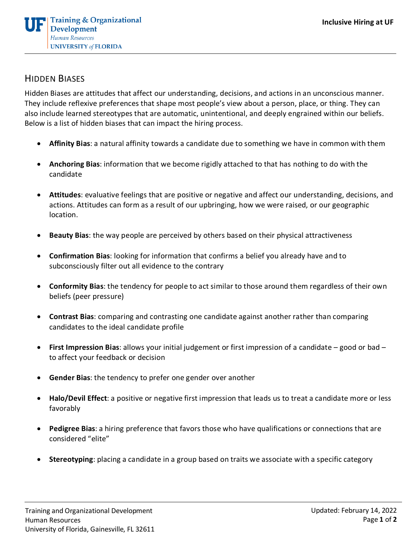

## HIDDEN BIASES

Hidden Biases are attitudes that affect our understanding, decisions, and actions in an unconscious manner. They include reflexive preferences that shape most people's view about a person, place, or thing. They can also include learned stereotypes that are automatic, unintentional, and deeply engrained within our beliefs. Below is a list of hidden biases that can impact the hiring process.

- **Affinity Bias**: a natural affinity towards a candidate due to something we have in common with them
- **Anchoring Bias**: information that we become rigidly attached to that has nothing to do with the candidate
- **Attitudes**: evaluative feelings that are positive or negative and affect our understanding, decisions, and actions. Attitudes can form as a result of our upbringing, how we were raised, or our geographic location.
- **Beauty Bias**: the way people are perceived by others based on their physical attractiveness
- **Confirmation Bias**: looking for information that confirms a belief you already have and to subconsciously filter out all evidence to the contrary
- **Conformity Bias**: the tendency for people to act similar to those around them regardless of their own beliefs (peer pressure)
- **Contrast Bias**: comparing and contrasting one candidate against another rather than comparing candidates to the ideal candidate profile
- **First Impression Bias**: allows your initial judgement or first impression of a candidate good or bad to affect your feedback or decision
- **Gender Bias**: the tendency to prefer one gender over another
- **Halo/Devil Effect**: a positive or negative first impression that leads us to treat a candidate more or less favorably
- **Pedigree Bias**: a hiring preference that favors those who have qualifications or connections that are considered "elite"
- **Stereotyping**: placing a candidate in a group based on traits we associate with a specific category